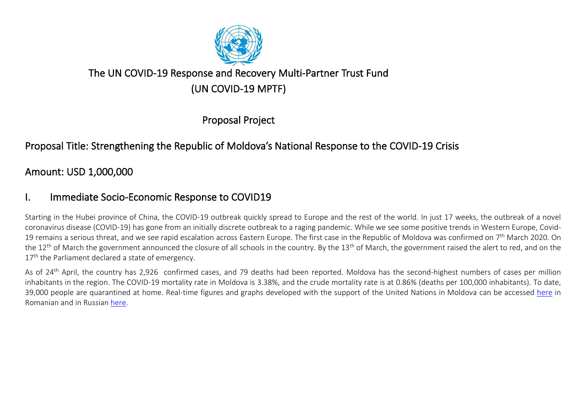

# The UN COVID-19 Response and Recovery Multi-Partner Trust Fund (UN COVID-19 MPTF)

Proposal Project

## Proposal Title: Strengthening the Republic of Moldova's National Response to the COVID-19 Crisis

## Amount: USD 1,000,000

## I. Immediate Socio-Economic Response to COVID19

Starting in the Hubei province of China, the COVID-19 outbreak quickly spread to Europe and the rest of the world. In just 17 weeks, the outbreak of a novel coronavirus disease (COVID-19) has gone from an initially discrete outbreak to a raging pandemic. While we see some positive trends in Western Europe, Covid-19 remains a serious threat, and we see rapid escalation across Eastern Europe. The first case in the Republic of Moldova was confirmed on 7<sup>th</sup> March 2020. On the 12<sup>th</sup> of March the government announced the closure of all schools in the country. By the 13<sup>th</sup> of March, the government raised the alert to red, and on the 17<sup>th</sup> the Parliament declared a state of emergency.

As of 24<sup>th</sup> April, the country has 2,926 confirmed cases, and 79 deaths had been reported. Moldova has the second-highest numbers of cases per million inhabitants in the region. The COVID-19 mortality rate in Moldova is 3.38%, and the crude mortality rate is at 0.86% (deaths per 100,000 inhabitants). To date, 39,000 people are quarantined at home. Real-time figures and graphs developed with the support of the United Nations in Moldova can be accessed [here](http://gismoldova.maps.arcgis.com/apps/opsdashboard/index.html#/d274da857ed345efa66e1fbc959b021b) in Romanian and in Russian [here.](http://gismoldova.maps.arcgis.com/apps/opsdashboard/index.html#/b8a5ead53f214b649ac4ec45e4b4c65f)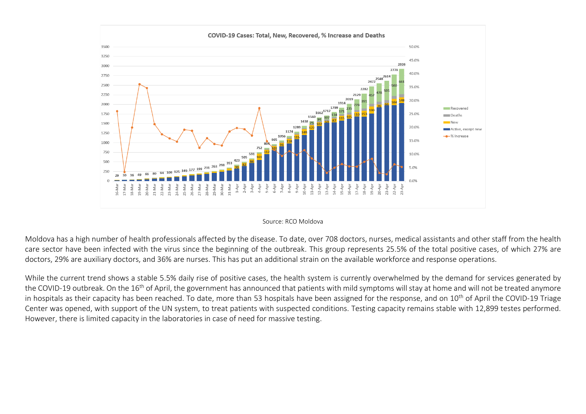

#### Source: RCO Moldova

Moldova has a high number of health professionals affected by the disease. To date, over 708 doctors, nurses, medical assistants and other staff from the health care sector have been infected with the virus since the beginning of the outbreak. This group represents 25.5% of the total positive cases, of which 27% are doctors, 29% are auxiliary doctors, and 36% are nurses. This has put an additional strain on the available workforce and response operations.

While the current trend shows a stable 5.5% daily rise of positive cases, the health system is currently overwhelmed by the demand for services generated by the COVID-19 outbreak. On the 16<sup>th</sup> of April, the government has announced that patients with mild symptoms will stay at home and will not be treated anymore in hospitals as their capacity has been reached. To date, more than 53 hospitals have been assigned for the response, and on 10<sup>th</sup> of April the COVID-19 Triage Center was opened, with support of the UN system, to treat patients with suspected conditions. Testing capacity remains stable with 12,899 testes performed. However, there is limited capacity in the laboratories in case of need for massive testing.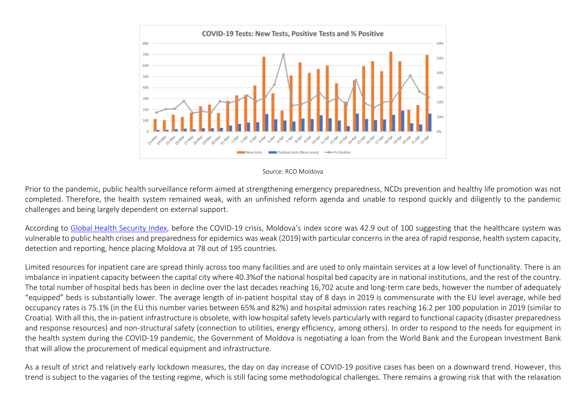

Source: RCO Moldova

Prior to the pandemic, public health surveillance reform aimed at strengthening emergency preparedness, NCDs prevention and healthy life promotion was not completed. Therefore, the health system remained weak, with an unfinished reform agenda and unable to respond quickly and diligently to the pandemic challenges and being largely dependent on external support.

According to [Global Health Security Index,](https://www.ghsindex.org/wp-content/uploads/2019/08/Moldova.pdf) before the COVID-19 crisis, Moldova's index score was 42.9 out of 100 suggesting that the healthcare system was vulnerable to public health crises and preparedness for epidemics was weak (2019)with particular concerns in the area of rapid response, health system capacity, detection and reporting, hence placing Moldova at 78 out of 195 countries.

Limited resources for inpatient care are spread thinly across too many facilities and are used to only maintain services at a low level of functionality. There is an imbalance in inpatient capacity between the capital city where 40.3%of the national hospital bed capacity are in national institutions, and the rest of the country. The total number of hospital beds has been in decline over the last decades reaching 16,702 acute and long-term care beds, however the number of adequately "equipped" beds is substantially lower. The average length of in-patient hospital stay of 8 days in 2019 is commensurate with the EU level average, while bed occupancy rates is 75.1% (in the EU this number varies between 65% and 82%) and hospital admission rates reaching 16.2 per 100 population in 2019 (similar to Croatia). With all this, the in-patient infrastructure is obsolete, with low hospital safety levels particularly with regard to functional capacity (disaster preparedness and response resources) and non-structural safety (connection to utilities, energy efficiency, among others). In order to respond to the needs for equipment in the health system during the COVID-19 pandemic, the Government of Moldova is negotiating a loan from the World Bank and the European Investment Bank that will allow the procurement of medical equipment and infrastructure.

As a result of strict and relatively early lockdown measures, the day on day increase of COVID-19 positive cases has been on a downward trend. However, this trend is subject to the vagaries of the testing regime, which is still facing some methodological challenges. There remains a growing risk that with the relaxation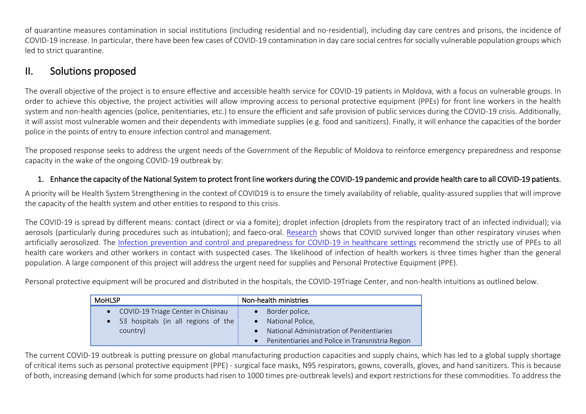of quarantine measures contamination in social institutions (including residential and no-residential), including day care centres and prisons, the incidence of COVID-19 increase. In particular, there have been few cases of COVID-19 contamination in day care social centres for socially vulnerable population groups which led to strict quarantine.

## II. Solutions proposed

The overall objective of the project is to ensure effective and accessible health service for COVID-19 patients in Moldova, with a focus on vulnerable groups. In order to achieve this objective, the project activities will allow improving access to personal protective equipment (PPEs) for front line workers in the health system and non-health agencies (police, penitentiaries, etc.) to ensure the efficient and safe provision of public services during the COVID-19 crisis. Additionally, it will assist most vulnerable women and their dependents with immediate supplies (e.g. food and sanitizers). Finally, it will enhance the capacities of the border police in the points of entry to ensure infection control and management.

The proposed response seeks to address the urgent needs of the Government of the Republic of Moldova to reinforce emergency preparedness and response capacity in the wake of the ongoing COVID-19 outbreak by:

### 1. Enhance the capacity of the National System to protect front line workers during the COVID-19 pandemic and provide health care to all COVID-19 patients.

A priority will be Health System Strengthening in the context of COVID19 is to ensure the timely availability of reliable, quality-assured supplies that will improve the capacity of the health system and other entities to respond to this crisis.

The COVID-19 is spread by different means: contact (direct or via a fomite); droplet infection (droplets from the respiratory tract of an infected individual); via aerosols (particularly during procedures such as intubation); and faeco-oral. [Research](https://www.cebm.net/covid-19/what-is-the-evidence-that-covid-19-personal-protective-equipment-should-include-shoe-covers/) shows that COVID survived longer than other respiratory viruses when artificially aerosolized. The [Infection prevention and control and preparedness for COVID-19 in healthcare settings](https://www.ecdc.europa.eu/sites/default/files/documents/Infection-prevention-control-for-the-care-of-patients-with-2019-nCoV-healthcare-settings_update-31-March-2020.pdf) recommend the strictly use of PPEs to all health care workers and other workers in contact with suspected cases. The likelihood of infection of health workers is three times higher than the general population. A large component of this project will address the urgent need for supplies and Personal Protective Equipment (PPE).

Personal protective equipment will be procured and distributed in the hospitals, the COVID-19Triage Center, and non-health intuitions as outlined below.

| <b>MoHLSP</b>                                    | Non-health ministries                            |
|--------------------------------------------------|--------------------------------------------------|
| COVID-19 Triage Center in Chisinau               | Border police,                                   |
| 53 hospitals (in all regions of the<br>$\bullet$ | National Police,                                 |
| country)                                         | National Administration of Penitentiaries        |
|                                                  | Penitentiaries and Police in Transnistria Region |

The current COVID-19 outbreak is putting pressure on global manufacturing production capacities and supply chains, which has led to a global supply shortage of critical items such as personal protective equipment (PPE) - surgical face masks, N95 respirators, gowns, coveralls, gloves, and hand sanitizers. This is because of both, increasing demand (which for some products had risen to 1000 times pre-outbreak levels) and export restrictions for these commodities. To address the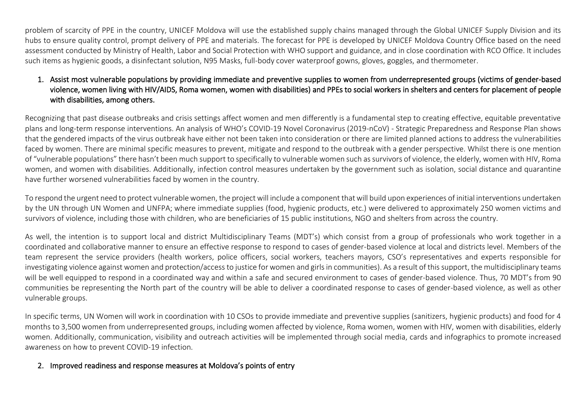problem of scarcity of PPE in the country, UNICEF Moldova will use the established supply chains managed through the Global UNICEF Supply Division and its hubs to ensure quality control, prompt delivery of PPE and materials. The forecast for PPE is developed by UNICEF Moldova Country Office based on the need assessment conducted by Ministry of Health, Labor and Social Protection with WHO support and guidance, and in close coordination with RCO Office. It includes such items as hygienic goods, a disinfectant solution, N95 Masks, full-body cover waterproof gowns, gloves, goggles, and thermometer.

### 1. Assist most vulnerable populations by providing immediate and preventive supplies to women from underrepresented groups (victims of gender-based violence, women living with HIV/AIDS, Roma women, women with disabilities) and PPEs to social workers in shelters and centers for placement of people with disabilities, among others.

Recognizing that past disease outbreaks and crisis settings affect women and men differently is a fundamental step to creating effective, equitable preventative plans and long-term response interventions. An analysis of WHO's COVID-19 Novel Coronavirus (2019-nCoV) - Strategic Preparedness and Response Plan shows that the gendered impacts of the virus outbreak have either not been taken into consideration or there are limited planned actions to address the vulnerabilities faced by women. There are minimal specific measures to prevent, mitigate and respond to the outbreak with a gender perspective. Whilst there is one mention of "vulnerable populations" there hasn't been much support to specifically to vulnerable women such as survivors of violence, the elderly, women with HIV, Roma women, and women with disabilities. Additionally, infection control measures undertaken by the government such as isolation, social distance and quarantine have further worsened vulnerabilities faced by women in the country.

To respond the urgent need to protect vulnerable women, the project will include a component thatwill build upon experiences of initial interventions undertaken by the UN through UN Women and UNFPA; where immediate supplies (food, hygienic products, etc.) were delivered to approximately 250 women victims and survivors of violence, including those with children, who are beneficiaries of 15 public institutions, NGO and shelters from across the country.

As well, the intention is to support local and district Multidisciplinary Teams (MDT's) which consist from a group of professionals who work together in a coordinated and collaborative manner to ensure an effective response to respond to cases of gender-based violence at local and districts level. Members of the team represent the service providers (health workers, police officers, social workers, teachers mayors, CSO's representatives and experts responsible for investigating violence against women and protection/access to justice for women and girlsin communities). As a result of this support, the multidisciplinary teams will be well equipped to respond in a coordinated way and within a safe and secured environment to cases of gender-based violence. Thus, 70 MDT's from 90 communities be representing the North part of the country will be able to deliver a coordinated response to cases of gender-based violence, as well as other vulnerable groups.

In specific terms, UN Women will work in coordination with 10 CSOs to provide immediate and preventive supplies (sanitizers, hygienic products) and food for 4 months to 3,500 women from underrepresented groups, including women affected by violence, Roma women, women with HIV, women with disabilities, elderly women. Additionally, communication, visibility and outreach activities will be implemented through social media, cards and infographics to promote increased awareness on how to prevent COVID-19 infection.

### 2. Improved readiness and response measures at Moldova's points of entry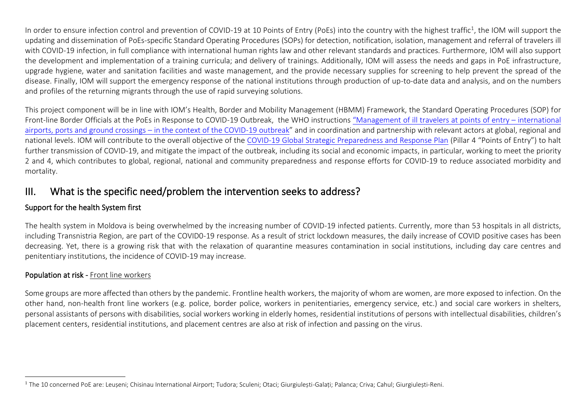In order to ensure infection control and prevention of COVID-19 at 10 Points of Entry (PoEs) into the country with the highest traffic<sup>1</sup>, the IOM will support the updating and dissemination of PoEs-specific Standard Operating Procedures (SOPs) for detection, notification, isolation, management and referral of travelers ill with COVID-19 infection, in full compliance with international human rights law and other relevant standards and practices. Furthermore, IOM will also support the development and implementation of a training curricula; and delivery of trainings. Additionally, IOM will assess the needs and gaps in PoE infrastructure, upgrade hygiene, water and sanitation facilities and waste management, and the provide necessary supplies for screening to help prevent the spread of the disease. Finally, IOM will support the emergency response of the national institutions through production of up-to-date data and analysis, and on the numbers and profiles of the returning migrants through the use of rapid surveying solutions.

This project component will be in line with IOM's Health, Border and Mobility Management (HBMM) Framework, the Standard Operating Procedures (SOP) for Front-line Border Officials at the PoEs in Response to COVID-19 Outbreak, the WHO instructions ["Management of ill](http://www.who.int/publications-detail/management-of-ill-travellers-at-points-of-entry-international-airportsseaportsand-ground-crossings-in-the-context-of-covid--19-outbreak) travelers at points of entry – international airports, ports and ground crossings – [in the context of the COVID-19 outbreak](http://www.who.int/publications-detail/management-of-ill-travellers-at-points-of-entry-international-airportsseaportsand-ground-crossings-in-the-context-of-covid--19-outbreak)" and in coordination and partnership with relevant actors at global, regional and national levels. IOM will contribute to the overall objective of the [COVID-19 Global Strategic Preparedness and Response Plan](https://www.who.int/publications-detail/strategic-preparedness-and-response-plan-for-the-new-coronavirus) (Pillar 4 "Points of Entry") to halt further transmission of COVID-19, and mitigate the impact of the outbreak, including its social and economic impacts, in particular, working to meet the priority 2 and 4, which contributes to global, regional, national and community preparedness and response efforts for COVID-19 to reduce associated morbidity and mortality.

### III. What is the specific need/problem the intervention seeks to address?

### Support for the health System first

The health system in Moldova is being overwhelmed by the increasing number of COVID-19 infected patients. Currently, more than 53 hospitals in all districts, including Transnistria Region, are part of the COVID0-19 response. As a result of strict lockdown measures, the daily increase of COVID positive cases has been decreasing. Yet, there is a growing risk that with the relaxation of quarantine measures contamination in social institutions, including day care centres and penitentiary institutions, the incidence of COVID-19 may increase.

### Population at risk - Front line workers

Some groups are more affected than others by the pandemic. Frontline health workers, the majority of whom are women, are more exposed to infection. On the other hand, non-health front line workers (e.g. police, border police, workers in penitentiaries, emergency service, etc.) and social care workers in shelters, personal assistants of persons with disabilities, social workers working in elderly homes, residential institutions of persons with intellectual disabilities, children's placement centers, residential institutions, and placement centres are also at risk of infection and passing on the virus.

<sup>&</sup>lt;sup>1</sup> The 10 concerned PoE are: Leușeni; Chisinau International Airport; Tudora; Sculeni; Otaci; Giurgiulești-Galați; Palanca; Criva; Cahul; Giurgiulești-Reni.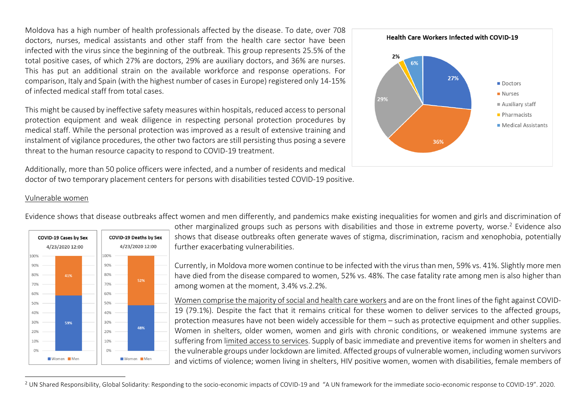Moldova has a high number of health professionals affected by the disease. To date, over 708 doctors, nurses, medical assistants and other staff from the health care sector have been infected with the virus since the beginning of the outbreak. This group represents 25.5% of the total positive cases, of which 27% are doctors, 29% are auxiliary doctors, and 36% are nurses. This has put an additional strain on the available workforce and response operations. For comparison, Italy and Spain (with the highest number of cases in Europe) registered only 14-15% of infected medical staff from total cases.

This might be caused by ineffective safety measures within hospitals, reduced access to personal protection equipment and weak diligence in respecting personal protection procedures by medical staff. While the personal protection was improved as a result of extensive training and instalment of vigilance procedures, the other two factors are still persisting thus posing a severe threat to the human resource capacity to respond to COVID-19 treatment.

Additionally, more than 50 police officers were infected, and a number of residents and medical doctor of two temporary placement centers for persons with disabilities tested COVID-19 positive.



#### Vulnerable women



Evidence shows that disease outbreaks affect women and men differently, and pandemics make existing inequalities for women and girls and discrimination of

other marginalized groups such as persons with disabilities and those in extreme poverty, worse.<sup>2</sup> Evidence also shows that disease outbreaks often generate waves of stigma, discrimination, racism and xenophobia, potentially further exacerbating vulnerabilities.

Currently, in Moldova more women continue to be infected with the virus than men, 59% vs. 41%. Slightly more men have died from the disease compared to women, 52% vs. 48%. The case fatality rate among men is also higher than among women at the moment, 3.4% vs.2.2%.

Women comprise the majority of social and health care workers and are on the front lines of the fight against COVID-19 (79.1%). Despite the fact that it remains critical for these women to deliver services to the affected groups, protection measures have not been widely accessible for them – such as protective equipment and other supplies. Women in shelters, older women, women and girls with chronic conditions, or weakened immune systems are suffering from limited access to services. Supply of basic immediate and preventive items for women in shelters and the vulnerable groups under lockdown are limited. Affected groups of vulnerable women, including women survivors and victims of violence; women living in shelters, HIV positive women, women with disabilities, female members of

<sup>&</sup>lt;sup>2</sup> UN Shared Responsibility, Global Solidarity: Responding to the socio-economic impacts of COVID-19 and "A UN framework for the immediate socio-economic response to COVID-19". 2020.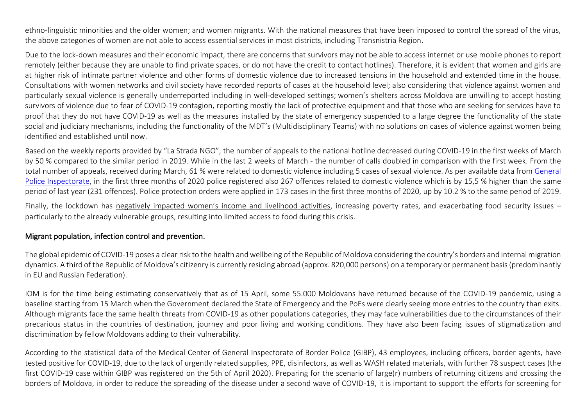ethno-linguistic minorities and the older women; and women migrants. With the national measures that have been imposed to control the spread of the virus, the above categories of women are not able to access essential services in most districts, including Transnistria Region.

Due to the lock-down measures and their economic impact, there are concerns that survivors may not be able to access internet or use mobile phones to report remotely (either because they are unable to find private spaces, or do not have the credit to contact hotlines). Therefore, it is evident that women and girls are at higher risk of intimate partner violence and other forms of domestic violence due to increased tensions in the household and extended time in the house. Consultations with women networks and civil society have recorded reports of cases at the household level; also considering that violence against women and particularly sexual violence is generally underreported including in well-developed settings; women's shelters across Moldova are unwilling to accept hosting survivors of violence due to fear of COVID-19 contagion, reporting mostly the lack of protective equipment and that those who are seeking for services have to proof that they do not have COVID-19 as well as the measures installed by the state of emergency suspended to a large degree the functionality of the state social and judiciary mechanisms, including the functionality of the MDT's (Multidisciplinary Teams) with no solutions on cases of violence against women being identified and established until now.

Based on the weekly reports provided by "La Strada NGO", the number of appeals to the national hotline decreased during COVID-19 in the first weeks of March by 50 % compared to the similar period in 2019. While in the last 2 weeks of March - the number of calls doubled in comparison with the first week. From the total number of appeals, received during March, 61 % were related to domestic violence including 5 cases of sexual violence. As per available data from [General](https://balkaninsight.com/2020/04/21/covid-19-and-domestic-abuse-when-home-is-not-the-safest-place/?fbclid=IwAR1kNCmfcRZCD8T5Ki994XJuxBxHnkf4m6CCbIn_D0ZXOa4MQBemTIMQJ9Q)  [Police Inspectorate,](https://balkaninsight.com/2020/04/21/covid-19-and-domestic-abuse-when-home-is-not-the-safest-place/?fbclid=IwAR1kNCmfcRZCD8T5Ki994XJuxBxHnkf4m6CCbIn_D0ZXOa4MQBemTIMQJ9Q) in the first three months of 2020 police registered also 267 offences related to domestic violence which is by 15,5 % higher than the same period of last year (231 offences). Police protection orders were applied in 173 cases in the first three months of 2020, up by 10.2 % to the same period of 2019.

Finally, the lockdown has negatively impacted women's income and livelihood activities, increasing poverty rates, and exacerbating food security issues particularly to the already vulnerable groups, resulting into limited access to food during this crisis.

### Migrant population, infection control and prevention.

The global epidemic of COVID-19 poses a clear risk to the health and wellbeing of the Republic of Moldova considering the country's borders and internal migration dynamics. A third of the Republic of Moldova's citizenry is currently residing abroad (approx. 820,000 persons) on a temporary or permanent basis (predominantly in EU and Russian Federation).

IOM is for the time being estimating conservatively that as of 15 April, some 55.000 Moldovans have returned because of the COVID-19 pandemic, using a baseline starting from 15 March when the Government declared the State of Emergency and the PoEs were clearly seeing more entries to the country than exits. Although migrants face the same health threats from COVID-19 as other populations categories, they may face vulnerabilities due to the circumstances of their precarious status in the countries of destination, journey and poor living and working conditions. They have also been facing issues of stigmatization and discrimination by fellow Moldovans adding to their vulnerability.

According to the statistical data of the Medical Center of General Inspectorate of Border Police (GIBP), 43 employees, including officers, border agents, have tested positive for COVID-19, due to the lack of urgently related supplies, PPE, disinfectors, as well as WASH related materials, with further 78 suspect cases (the first COVID-19 case within GIBP was registered on the 5th of April 2020). Preparing for the scenario of large(r) numbers of returning citizens and crossing the borders of Moldova, in order to reduce the spreading of the disease under a second wave of COVID-19, it is important to support the efforts for screening for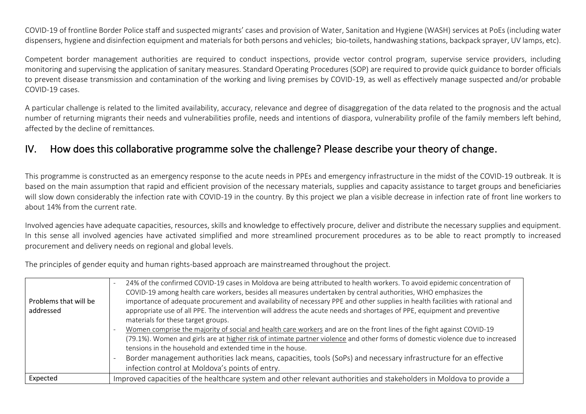COVID-19 of frontline Border Police staff and suspected migrants' cases and provision of Water, Sanitation and Hygiene (WASH) services at PoEs (including water dispensers, hygiene and disinfection equipment and materials for both persons and vehicles; bio-toilets, handwashing stations, backpack sprayer, UV lamps, etc).

Competent border management authorities are required to conduct inspections, provide vector control program, supervise service providers, including monitoring and supervising the application of sanitary measures. Standard Operating Procedures (SOP) are required to provide quick guidance to border officials to prevent disease transmission and contamination of the working and living premises by COVID-19, as well as effectively manage suspected and/or probable COVID-19 cases.

A particular challenge is related to the limited availability, accuracy, relevance and degree of disaggregation of the data related to the prognosis and the actual number of returning migrants their needs and vulnerabilities profile, needs and intentions of diaspora, vulnerability profile of the family members left behind, affected by the decline of remittances.

### IV. How does this collaborative programme solve the challenge? Please describe your theory of change.

This programme is constructed as an emergency response to the acute needs in PPEs and emergency infrastructure in the midst of the COVID-19 outbreak. It is based on the main assumption that rapid and efficient provision of the necessary materials, supplies and capacity assistance to target groups and beneficiaries will slow down considerably the infection rate with COVID-19 in the country. By this project we plan a visible decrease in infection rate of front line workers to about 14% from the current rate.

Involved agencies have adequate capacities, resources, skills and knowledge to effectively procure, deliver and distribute the necessary supplies and equipment. In this sense all involved agencies have activated simplified and more streamlined procurement procedures as to be able to react promptly to increased procurement and delivery needs on regional and global levels.

The principles of gender equity and human rights-based approach are mainstreamed throughout the project.

| Problems that will be<br>addressed | 24% of the confirmed COVID-19 cases in Moldova are being attributed to health workers. To avoid epidemic concentration of<br>COVID-19 among health care workers, besides all measures undertaken by central authorities, WHO emphasizes the<br>importance of adequate procurement and availability of necessary PPE and other supplies in health facilities with rational and<br>appropriate use of all PPE. The intervention will address the acute needs and shortages of PPE, equipment and preventive<br>materials for these target groups. |
|------------------------------------|-------------------------------------------------------------------------------------------------------------------------------------------------------------------------------------------------------------------------------------------------------------------------------------------------------------------------------------------------------------------------------------------------------------------------------------------------------------------------------------------------------------------------------------------------|
|                                    | Women comprise the majority of social and health care workers and are on the front lines of the fight against COVID-19<br>(79.1%). Women and girls are at higher risk of intimate partner violence and other forms of domestic violence due to increased<br>tensions in the household and extended time in the house.                                                                                                                                                                                                                           |
|                                    | Border management authorities lack means, capacities, tools (SoPs) and necessary infrastructure for an effective<br>infection control at Moldova's points of entry.                                                                                                                                                                                                                                                                                                                                                                             |
| Expected                           | Improved capacities of the healthcare system and other relevant authorities and stakeholders in Moldova to provide a                                                                                                                                                                                                                                                                                                                                                                                                                            |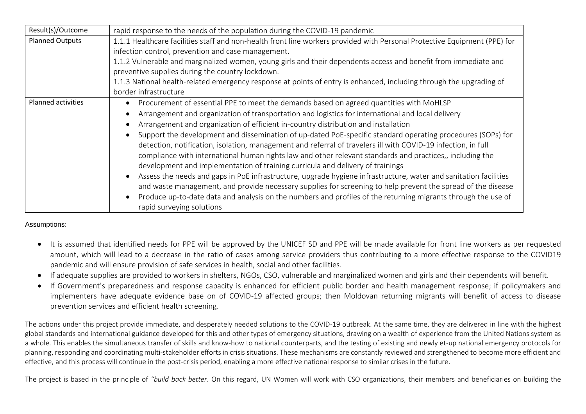| Result(s)/Outcome         | rapid response to the needs of the population during the COVID-19 pandemic                                                    |  |  |  |  |  |  |  |  |
|---------------------------|-------------------------------------------------------------------------------------------------------------------------------|--|--|--|--|--|--|--|--|
| <b>Planned Outputs</b>    | 1.1.1 Healthcare facilities staff and non-health front line workers provided with Personal Protective Equipment (PPE) for     |  |  |  |  |  |  |  |  |
|                           | infection control, prevention and case management.                                                                            |  |  |  |  |  |  |  |  |
|                           | 1.1.2 Vulnerable and marginalized women, young girls and their dependents access and benefit from immediate and               |  |  |  |  |  |  |  |  |
|                           | preventive supplies during the country lockdown.                                                                              |  |  |  |  |  |  |  |  |
|                           | 1.1.3 National health-related emergency response at points of entry is enhanced, including through the upgrading of           |  |  |  |  |  |  |  |  |
|                           | border infrastructure                                                                                                         |  |  |  |  |  |  |  |  |
| <b>Planned activities</b> | Procurement of essential PPE to meet the demands based on agreed quantities with MoHLSP<br>$\bullet$                          |  |  |  |  |  |  |  |  |
|                           | Arrangement and organization of transportation and logistics for international and local delivery<br>٠                        |  |  |  |  |  |  |  |  |
|                           | Arrangement and organization of efficient in-country distribution and installation                                            |  |  |  |  |  |  |  |  |
|                           | Support the development and dissemination of up-dated PoE-specific standard operating procedures (SOPs) for                   |  |  |  |  |  |  |  |  |
|                           | detection, notification, isolation, management and referral of travelers ill with COVID-19 infection, in full                 |  |  |  |  |  |  |  |  |
|                           | compliance with international human rights law and other relevant standards and practices,, including the                     |  |  |  |  |  |  |  |  |
|                           | development and implementation of training curricula and delivery of trainings                                                |  |  |  |  |  |  |  |  |
|                           | Assess the needs and gaps in PoE infrastructure, upgrade hygiene infrastructure, water and sanitation facilities<br>$\bullet$ |  |  |  |  |  |  |  |  |
|                           | and waste management, and provide necessary supplies for screening to help prevent the spread of the disease                  |  |  |  |  |  |  |  |  |
|                           | Produce up-to-date data and analysis on the numbers and profiles of the returning migrants through the use of<br>$\bullet$    |  |  |  |  |  |  |  |  |
|                           | rapid surveying solutions                                                                                                     |  |  |  |  |  |  |  |  |

Assumptions:

- It is assumed that identified needs for PPE will be approved by the UNICEF SD and PPE will be made available for front line workers as per requested amount, which will lead to a decrease in the ratio of cases among service providers thus contributing to a more effective response to the COVID19 pandemic and will ensure provision of safe services in health, social and other facilities.
- If adequate supplies are provided to workers in shelters, NGOs, CSO, vulnerable and marginalized women and girls and their dependents will benefit.
- If Government's preparedness and response capacity is enhanced for efficient public border and health management response; if policymakers and implementers have adequate evidence base on of COVID-19 affected groups; then Moldovan returning migrants will benefit of access to disease prevention services and efficient health screening.

The actions under this project provide immediate, and desperately needed solutions to the COVID-19 outbreak. At the same time, they are delivered in line with the highest global standards and international guidance developed for this and other types of emergency situations, drawing on a wealth of experience from the United Nations system as a whole. This enables the simultaneous transfer of skills and know-how to national counterparts, and the testing of existing and newly et-up national emergency protocols for planning, responding and coordinating multi-stakeholder efforts in crisis situations. These mechanisms are constantly reviewed and strengthened to become more efficient and effective, and this process will continue in the post-crisis period, enabling a more effective national response to similar crises in the future.

The project is based in the principle of *"build back better*. On this regard, UN Women will work with CSO organizations, their members and beneficiaries on building the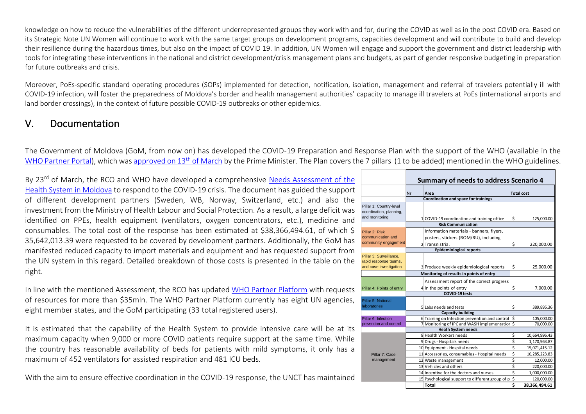knowledge on how to reduce the vulnerabilities of the different underrepresented groups they work with and for, during the COVID as well as in the post COVID era. Based on its Strategic Note UN Women will continue to work with the same target groups on development programs, capacities development and will contribute to build and develop their resilience during the hazardous times, but also on the impact of COVID 19. In addition, UN Women will engage and support the government and district leadership with tools for integrating these interventions in the national and district development/crisis management plans and budgets, as part of gender responsive budgeting in preparation for future outbreaks and crisis.

Moreover, PoEs-specific standard operating procedures (SOPs) implemented for detection, notification, isolation, management and referral of travelers potentially ill with COVID-19 infection, will foster the preparedness of Moldova's border and health management authorities' capacity to manage ill travelers at PoEs (international airports and land border crossings), in the context of future possible COVID-19 outbreaks or other epidemics.

### V. Documentation

The Government of Moldova (GoM, from now on) has developed the COVID-19 Preparation and Response Plan with the support of the WHO (available in the [WHO Partner Portal\)](https://covid-19-response.org/country-info), which was [approved on 13](https://gov.md/sites/default/files/hotarire_cnesp_cov_13.03.2020.pdf)<sup>th</sup> of March by the Prime Minister. The Plan covers the 7 pillars (1 to be added) mentioned in the WHO guidelines.

By 23<sup>rd</sup> of March, the RCO and WHO have developed a comprehensive Needs Assessment of the [Health System in Moldova](https://docs.google.com/spreadsheets/d/1G2OWkOsEJOZIopdLeD-96dJ4RYj_wjmTEuZpUPgdHq4/edit?usp=sharing) to respond to the COVID-19 crisis. The document has guided the support of different development partners (Sweden, WB, Norway, Switzerland, etc.) and also the investment from the Ministry of Health Labour and Social Protection. As a result, a large deficit was identified on PPEs, health equipment (ventilators, oxygen concentrators, etc.), medicine and consumables. The total cost of the response has been estimated at \$38,366,494.61, of which \$ 35,642,013.39 were requested to be covered by development partners. Additionally, the GoM has manifested reduced capacity to import materials and equipment and has requested support from the UN system in this regard. Detailed breakdown of those costs is presented in the table on the right.

In line with the mentioned Assessment, the RCO has update[d WHO Partner Platform](https://covid-19-response.org/country-info) with requests of resources for more than \$35mln. The WHO Partner Platform currently has eight UN agencies, eight member states, and the GoM participating (33 total registered users).

It is estimated that the capability of the Health System to provide intensive care will be at its maximum capacity when 9,000 or more COVID patients require support at the same time. While the country has reasonable availability of beds for patients with mild symptoms, it only has a maximum of 452 ventilators for assisted respiration and 481 ICU beds.

With the aim to ensure effective coordination in the COVID-19 response, the UNCT has maintained

|                                                                            |                           | <b>Summary of needs to address Scenario 4</b>                                                        |    |                   |
|----------------------------------------------------------------------------|---------------------------|------------------------------------------------------------------------------------------------------|----|-------------------|
|                                                                            | Nr                        | Area                                                                                                 |    | <b>Total cost</b> |
|                                                                            |                           | Coordination and space for trainings                                                                 |    |                   |
| Pillar 1: Country-level<br>coordination, planning,<br>and monitoring       |                           | 1 COVID-19 coordination and training office                                                          | \$ | 125,000.00        |
|                                                                            | <b>Risk Communication</b> |                                                                                                      |    |                   |
| Pillar 2: Risk<br>communication and<br>community engagement                |                           | Information materials - banners, flyers,<br>posters, stickers (ROM/RU), including<br>2 Transnistria. | \$ | 220,000.00        |
|                                                                            |                           | <b>Epidemiological reports</b>                                                                       |    |                   |
| Pillar 3: Surveillance.<br>rapid response teams,<br>and case investigation |                           | 3 Produce weekly epidemiological reports                                                             | \$ | 25,000.00         |
|                                                                            |                           | Monitoring of results in points of entry                                                             |    |                   |
| Pillar 4: Points of entry                                                  |                           | Assessment report of the correct progress<br>4 in the points of entry                                | \$ | 7,000.00          |
|                                                                            |                           | <b>COVID-19 tests</b>                                                                                |    |                   |
| Pillar 5: National<br><b>laboratories</b>                                  |                           | 5 Labs needs and tests                                                                               | \$ | 389,895.36        |
| Pillar 6: Infection                                                        |                           | <b>Capacity building</b><br>6 Training on Infection prevention and control                           | \$ | 105,000.00        |
| prevention and control                                                     |                           | 7 Monitoring of IPC and WASH implementation \$                                                       |    | 70,000.00         |
|                                                                            |                           | <b>Heath System needs</b>                                                                            |    |                   |
|                                                                            |                           | 8 Health Workers needs                                                                               | \$ | 10,664,996.43     |
|                                                                            |                           | 9 Drugs - Hospitals needs                                                                            | \$ | 1,170,963.87      |
|                                                                            |                           | 10 Equipment - Hospital needs                                                                        | \$ | 15,071,415.12     |
| Pillar 7: Case                                                             |                           | 11 Accessories, consumables - Hospital needs                                                         | \$ | 10,285,223.83     |
| management                                                                 |                           | 12 Waste management                                                                                  | \$ | 12,000.00         |
|                                                                            |                           | 13 Vehicles and others                                                                               | \$ | 220,000.00        |
|                                                                            |                           | 14 Incentive for the doctors and nurses                                                              | \$ | 1,000,000.00      |
|                                                                            |                           | 15 Psychological support to different group of p \$                                                  |    | 120,000.00        |
|                                                                            |                           | Total                                                                                                | \$ | 38,366,494.61     |
|                                                                            |                           |                                                                                                      |    |                   |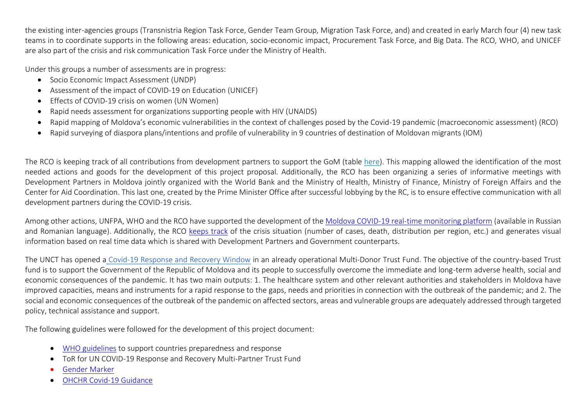the existing inter-agencies groups (Transnistria Region Task Force, Gender Team Group, Migration Task Force, and) and created in early March four (4) new task teams in to coordinate supports in the following areas: education, socio-economic impact, Procurement Task Force, and Big Data. The RCO, WHO, and UNICEF are also part of the crisis and risk communication Task Force under the Ministry of Health.

Under this groups a number of assessments are in progress:

- Socio Economic Impact Assessment (UNDP)
- Assessment of the impact of COVID-19 on Education (UNICEF)
- Effects of COVID-19 crisis on women (UN Women)
- Rapid needs assessment for organizations supporting people with HIV (UNAIDS)
- Rapid mapping of Moldova's economic vulnerabilities in the context of challenges posed by the Covid-19 pandemic (macroeconomic assessment) (RCO)
- Rapid surveying of diaspora plans/intentions and profile of vulnerability in 9 countries of destination of Moldovan migrants (IOM)

The RCO is keeping track of all contributions from development partners to support the GoM (table [here\)](https://docs.google.com/spreadsheets/d/1sfTtPLal6lNsGIF1iXyV-OSzavOR0c5MzeaiV6Du-qc/edit?usp=sharing). This mapping allowed the identification of the most needed actions and goods for the development of this project proposal. Additionally, the RCO has been organizing a series of informative meetings with Development Partners in Moldova jointly organized with the World Bank and the Ministry of Health, Ministry of Finance, Ministry of Foreign Affairs and the Center for Aid Coordination. This last one, created by the Prime Minister Office after successful lobbying by the RC, is to ensure effective communication with all development partners during the COVID-19 crisis.

Among other actions, UNFPA, WHO and the RCO have supported the development of the [Moldova COVID-19 real-time monitoring platform](http://gismoldova.maps.arcgis.com/apps/opsdashboard/index.html#/d274da857ed345efa66e1fbc959b021b) (available in Russian and Romanian language). Additionally, the RCO [keeps track](https://unitednations.sharepoint.com/:x:/r/sites/DCO-RCO-Moldova/Shared%20Documents/General/COVID-2019/COVID-19%20Cases.xlsx?d=w0dfc7d5e570e415181cc8bfd98b7d579&csf=1&web=1&e=XPuZXz) of the crisis situation (number of cases, death, distribution per region, etc.) and generates visual information based on real time data which is shared with Development Partners and Government counterparts.

The UNCT has opened a [Covid-19 Response and Recovery Window](http://mptf.undp.org/factsheet/fund/MD100) in an already operational Multi-Donor Trust Fund. The objective of the country-based Trust fund is to support the Government of the Republic of Moldova and its people to successfully overcome the immediate and long-term adverse health, social and economic consequences of the pandemic. It has two main outputs: 1. The healthcare system and other relevant authorities and stakeholders in Moldova have improved capacities, means and instruments for a rapid response to the gaps, needs and priorities in connection with the outbreak of the pandemic; and 2. The social and economic consequences of the outbreak of the pandemic on affected sectors, areas and vulnerable groups are adequately addressed through targeted policy, technical assistance and support.

The following guidelines were followed for the development of this project document:

- [WHO guidelines](https://www.who.int/docs/default-source/coronaviruse/covid-19-sprp-unct-guidelines.pdf) to support countries preparedness and response
- ToR for UN COVID-19 Response and Recovery Multi-Partner Trust Fund
- [Gender Marker](https://unsdg.un.org/resources/unct-gender-equality-marker-guidance-note)
- [OHCHR Covid-19 Guidance](https://www.ohchr.org/EN/NewsEvents/Pages/COVID19Guidance.aspx)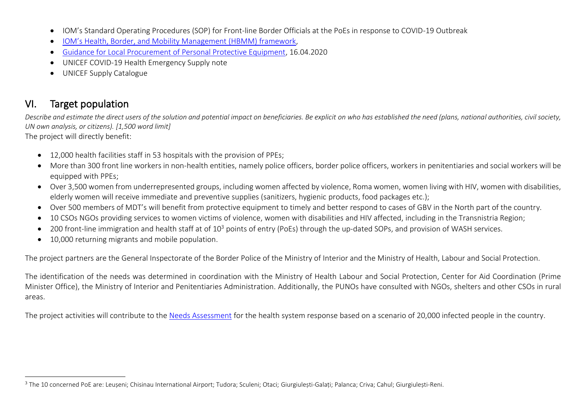- IOM's Standard Operating Procedures (SOP) for Front-line Border Officials at the PoEs in response to COVID-19 Outbreak
- [IOM's Health, Border, and Mobility Management \(HBMM\) framework](https://www.iom.int/sites/default/files/our_work/DMM/IBM/updated/Health_and_Humanitarian_Border_Management.pdf),
- [Guidance for Local Procurement of Personal Protective Equipment,](https://unicef.sharepoint.com/:b:/r/sites/SD/DocumentLibrary/News%20and%20Events/CS%20-%20Coronavirus%20Updates/Guidance%20for%20local%20procurement%20of%20personal%20protective%20equipment.pdf?csf=1&web=1&e=cQ8W5L) 16.04.2020
- UNICE[F COVID-19 Health Emergency Supply note](https://www.unicef.org/supply/documents/coronavirus-disease-2019-covid-19-health-emergency-supply-note)
- [UNICEF Supply Catalogue](https://supply.unicef.org/)

## VI. Target population

*Describe and estimate the direct users of the solution and potential impact on beneficiaries. Be explicit on who has established the need (plans, national authorities, civil society, UN own analysis, or citizens). [1,500 word limit]*

The project will directly benefit:

- 12,000 health facilities staff in 53 hospitals with the provision of PPEs;
- More than 300 front line workers in non-health entities, namely police officers, border police officers, workers in penitentiaries and social workers will be equipped with PPEs;
- Over 3,500 women from underrepresented groups, including women affected by violence, Roma women, women living with HIV, women with disabilities, elderly women will receive immediate and preventive supplies (sanitizers, hygienic products, food packages etc.);
- Over 500 members of MDT's will benefit from protective equipment to timely and better respond to cases of GBV in the North part of the country.
- 10 CSOs NGOs providing services to women victims of violence, women with disabilities and HIV affected, including in the Transnistria Region;
- 200 front-line immigration and health staff at of 10<sup>3</sup> points of entry (PoEs) through the up-dated SOPs, and provision of WASH services.
- 10,000 returning migrants and mobile population.

The project partners are the General Inspectorate of the Border Police of the Ministry of Interior and the Ministry of Health, Labour and Social Protection.

The identification of the needs was determined in coordination with the Ministry of Health Labour and Social Protection, Center for Aid Coordination (Prime Minister Office), the Ministry of Interior and Penitentiaries Administration. Additionally, the PUNOs have consulted with NGOs, shelters and other CSOs in rural areas.

The project activities will contribute to the [Needs Assessment](https://docs.google.com/spreadsheets/d/1G2OWkOsEJOZIopdLeD-96dJ4RYj_wjmTEuZpUPgdHq4/edit?usp=sharing) for the health system response based on a scenario of 20,000 infected people in the country.

<sup>3</sup> The 10 concerned PoE are: Leușeni; Chisinau International Airport; Tudora; Sculeni; Otaci; Giurgiulești-Galați; Palanca; Criva; Cahul; Giurgiulești-Reni.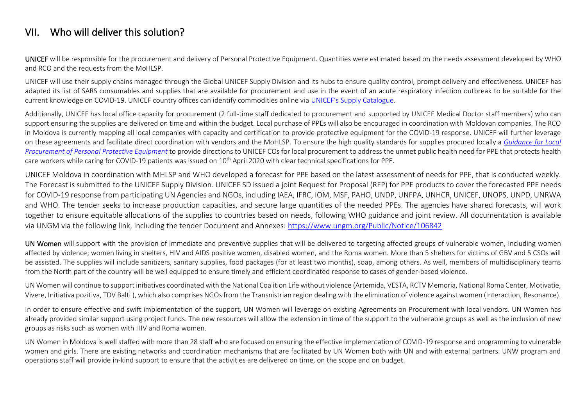### VII. Who will deliver this solution?

UNICEF will be responsible for the procurement and delivery of Personal Protective Equipment. Quantities were estimated based on the needs assessment developed by WHO and RCO and the requests from the MoHLSP.

UNICEF will use their supply chains managed through the Global UNICEF Supply Division and its hubs to ensure quality control, prompt delivery and effectiveness. UNICEF has adapted its list of SARS consumables and supplies that are available for procurement and use in the event of an acute respiratory infection outbreak to be suitable for the current knowledge on COVID-19. UNICEF country offices can identify commodities online via [UNICEF's Supply Catalogue](https://supply.unicef.org/).

Additionally, UNICEF has local office capacity for procurement (2 full-time staff dedicated to procurement and supported by UNICEF Medical Doctor staff members) who can support ensuring the supplies are delivered on time and within the budget. Local purchase of PPEs will also be encouraged in coordination with Moldovan companies. The RCO in Moldova is currently mapping all local companies with capacity and certification to provide protective equipment for the COVID-19 response. UNICEF will further leverage on these agreements and facilitate direct coordination with vendors and the MoHLSP. To ensure the high quality standards for supplies procured locally a *[Guidance for Local](https://unicef.sharepoint.com/:b:/r/sites/SD/DocumentLibrary/News%20and%20Events/CS%20-%20Coronavirus%20Updates/Guidance%20for%20local%20procurement%20of%20personal%20protective%20equipment.pdf?csf=1&web=1&e=cQ8W5L)  [Procurement of Personal Protective Equipment](https://unicef.sharepoint.com/:b:/r/sites/SD/DocumentLibrary/News%20and%20Events/CS%20-%20Coronavirus%20Updates/Guidance%20for%20local%20procurement%20of%20personal%20protective%20equipment.pdf?csf=1&web=1&e=cQ8W5L)* to provide directions to UNICEF COs for local procurement to address the unmet public health need for PPE that protects health care workers while caring for COVID-19 patients was issued on 10<sup>th</sup> April 2020 with clear technical specifications for PPE.

UNICEF Moldova in coordination with MHLSP and WHO developed a forecast for PPE based on the latest assessment of needs for PPE, that is conducted weekly. The Forecast is submitted to the UNICEF Supply Division. UNICEF SD issued a joint Request for Proposal (RFP) for PPE products to cover the forecasted PPE needs for COVID-19 response from participating UN Agencies and NGOs, including IAEA, IFRC, IOM, MSF, PAHO, UNDP, UNFPA, UNHCR, UNICEF, UNOPS, UNPD, UNRWA and WHO. The tender seeks to increase production capacities, and secure large quantities of the needed PPEs. The agencies have shared forecasts, will work together to ensure equitable allocations of the supplies to countries based on needs, following WHO guidance and joint review. All documentation is available via UNGM via the following link, including the tender Document and Annexes:<https://www.ungm.org/Public/Notice/106842>

UN Women will support with the provision of immediate and preventive supplies that will be delivered to targeting affected groups of vulnerable women, including women affected by violence; women living in shelters, HIV and AIDS positive women, disabled women, and the Roma women. More than 5 shelters for victims of GBV and 5 CSOs will be assisted. The supplies will include sanitizers, sanitary supplies, food packages (for at least two months), soap, among others. As well, members of multidisciplinary teams from the North part of the country will be well equipped to ensure timely and efficient coordinated response to cases of gender-based violence.

UN Women will continue to support initiatives coordinated with the National Coalition Life without violence (Artemida, VESTA, RCTV Memoria, National Roma Center, Motivatie, Vivere, Initiativa pozitiva, TDV Balti ), which also comprises NGOs from the Transnistrian region dealing with the elimination of violence against women (Interaction, Resonance).

In order to ensure effective and swift implementation of the support, UN Women will leverage on existing Agreements on Procurement with local vendors. UN Women has already provided similar support using project funds. The new resources will allow the extension in time of the support to the vulnerable groups as well as the inclusion of new groups as risks such as women with HIV and Roma women.

UN Women in Moldova is well staffed with more than 28 staff who are focused on ensuring the effective implementation of COVID-19 response and programming to vulnerable women and girls. There are existing networks and coordination mechanisms that are facilitated by UN Women both with UN and with external partners. UNW program and operations staff will provide in-kind support to ensure that the activities are delivered on time, on the scope and on budget.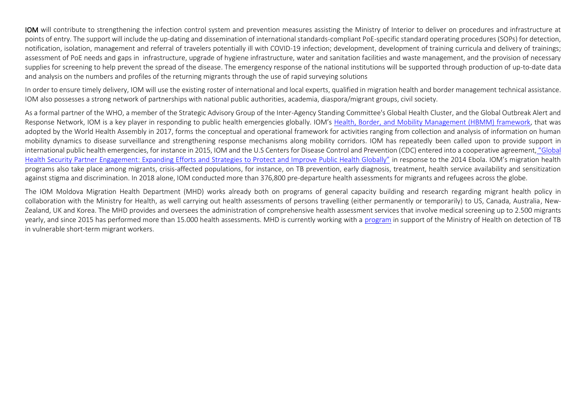IOM will contribute to strengthening the infection control system and prevention measures assisting the Ministry of Interior to deliver on procedures and infrastructure at points of entry. The support will include the up-dating and dissemination of international standards-compliant PoE-specific standard operating procedures (SOPs) for detection, notification, isolation, management and referral of travelers potentially ill with COVID-19 infection; development, development of training curricula and delivery of trainings; assessment of PoE needs and gaps in infrastructure, upgrade of hygiene infrastructure, water and sanitation facilities and waste management, and the provision of necessary supplies for screening to help prevent the spread of the disease. The emergency response of the national institutions will be supported through production of up-to-date data and analysis on the numbers and profiles of the returning migrants through the use of rapid surveying solutions

In order to ensure timely delivery, IOM will use the existing roster of international and local experts, qualified in migration health and border management technical assistance. IOM also possesses a strong network of partnerships with national public authorities, academia, diaspora/migrant groups, civil society.

As a formal partner of the WHO, a member of the Strategic Advisory Group of the Inter-Agency Standing Committee's Global Health Cluster, and the Global Outbreak Alert and Response Network, IOM is a key player in responding to public health emergencies globally. IOM's [Health, Border, and Mobility Management \(HBMM\) framework,](https://www.iom.int/sites/default/files/our_work/DMM/IBM/updated/Health_and_Humanitarian_Border_Management.pdf) that was adopted by the World Health Assembly in 2017, forms the conceptual and operational framework for activities ranging from collection and analysis of information on human mobility dynamics to disease surveillance and strengthening response mechanisms along mobility corridors. IOM has repeatedly been called upon to provide support in international public health emergencies, for instance in 2015, IOM and the U.S Centers for Disease Control and Prevention (CDC) entered into a cooperative agreement, ["Global](https://www.iom.int/sites/default/files/our_work/DMM/Migration-Health/mhd_infosheet_cdc_ghs_13.02.2019.pdf)  [Health Security Partner Engagement: Expanding Efforts and Strategies to Protect and Improve Public Health Globally"](https://www.iom.int/sites/default/files/our_work/DMM/Migration-Health/mhd_infosheet_cdc_ghs_13.02.2019.pdf) in response to the 2014 Ebola. IOM's migration health programs also take place among migrants, crisis-affected populations, for instance, on TB prevention, early diagnosis, treatment, health service availability and sensitization against stigma and discrimination. In 2018 alone, IOM conducted more than 376,800 pre-departure health assessments for migrants and refugees across the globe.

The IOM Moldova Migration Health Department (MHD) works already both on programs of general capacity building and research regarding migrant health policy in collaboration with the Ministry for Health, as well carrying out health assessments of persons travelling (either permanently or temporarily) to US, Canada, Australia, New-Zealand, UK and Korea. The MHD provides and oversees the administration of comprehensive health assessment services that involve medical screening up to 2.500 migrants yearly, and since 2015 has performed more than 15.000 health assessments. MHD is currently working with a [program](https://www.iom.int/migration-health-assessments-travel-health-assistance) in support of the Ministry of Health on detection of TB in vulnerable short-term migrant workers.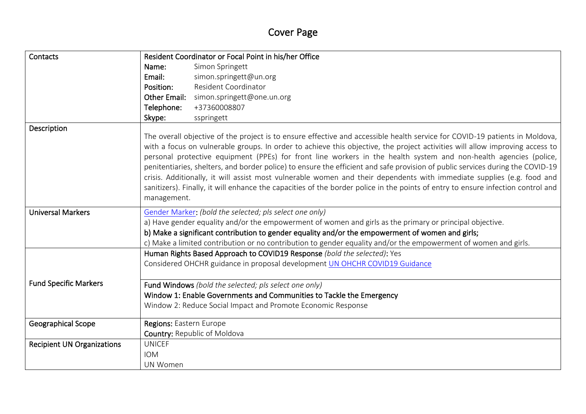# Cover Page

| Contacts                          | Resident Coordinator or Focal Point in his/her Office                                                                                                                                                                                                                                                                                                                                                                                                                                                                                                                                                                                                                                                                                                                                           |  |  |  |  |
|-----------------------------------|-------------------------------------------------------------------------------------------------------------------------------------------------------------------------------------------------------------------------------------------------------------------------------------------------------------------------------------------------------------------------------------------------------------------------------------------------------------------------------------------------------------------------------------------------------------------------------------------------------------------------------------------------------------------------------------------------------------------------------------------------------------------------------------------------|--|--|--|--|
|                                   | Simon Springett<br>Name:                                                                                                                                                                                                                                                                                                                                                                                                                                                                                                                                                                                                                                                                                                                                                                        |  |  |  |  |
|                                   | Email:<br>simon.springett@un.org                                                                                                                                                                                                                                                                                                                                                                                                                                                                                                                                                                                                                                                                                                                                                                |  |  |  |  |
|                                   | Resident Coordinator<br>Position:                                                                                                                                                                                                                                                                                                                                                                                                                                                                                                                                                                                                                                                                                                                                                               |  |  |  |  |
|                                   | Other Email:<br>simon.springett@one.un.org                                                                                                                                                                                                                                                                                                                                                                                                                                                                                                                                                                                                                                                                                                                                                      |  |  |  |  |
|                                   | Telephone:<br>+37360008807                                                                                                                                                                                                                                                                                                                                                                                                                                                                                                                                                                                                                                                                                                                                                                      |  |  |  |  |
|                                   | Skype:<br>sspringett                                                                                                                                                                                                                                                                                                                                                                                                                                                                                                                                                                                                                                                                                                                                                                            |  |  |  |  |
| Description                       | The overall objective of the project is to ensure effective and accessible health service for COVID-19 patients in Moldova,<br>with a focus on vulnerable groups. In order to achieve this objective, the project activities will allow improving access to<br>personal protective equipment (PPEs) for front line workers in the health system and non-health agencies (police,<br>penitentiaries, shelters, and border police) to ensure the efficient and safe provision of public services during the COVID-19<br>crisis. Additionally, it will assist most vulnerable women and their dependents with immediate supplies (e.g. food and<br>sanitizers). Finally, it will enhance the capacities of the border police in the points of entry to ensure infection control and<br>management. |  |  |  |  |
| <b>Universal Markers</b>          | Gender Marker: (bold the selected; pls select one only)                                                                                                                                                                                                                                                                                                                                                                                                                                                                                                                                                                                                                                                                                                                                         |  |  |  |  |
|                                   | a) Have gender equality and/or the empowerment of women and girls as the primary or principal objective.                                                                                                                                                                                                                                                                                                                                                                                                                                                                                                                                                                                                                                                                                        |  |  |  |  |
|                                   | b) Make a significant contribution to gender equality and/or the empowerment of women and girls;                                                                                                                                                                                                                                                                                                                                                                                                                                                                                                                                                                                                                                                                                                |  |  |  |  |
|                                   | c) Make a limited contribution or no contribution to gender equality and/or the empowerment of women and girls.                                                                                                                                                                                                                                                                                                                                                                                                                                                                                                                                                                                                                                                                                 |  |  |  |  |
|                                   | Human Rights Based Approach to COVID19 Response (bold the selected): Yes                                                                                                                                                                                                                                                                                                                                                                                                                                                                                                                                                                                                                                                                                                                        |  |  |  |  |
|                                   | Considered OHCHR guidance in proposal development UN OHCHR COVID19 Guidance                                                                                                                                                                                                                                                                                                                                                                                                                                                                                                                                                                                                                                                                                                                     |  |  |  |  |
| <b>Fund Specific Markers</b>      | Fund Windows (bold the selected; pls select one only)                                                                                                                                                                                                                                                                                                                                                                                                                                                                                                                                                                                                                                                                                                                                           |  |  |  |  |
|                                   | Window 1: Enable Governments and Communities to Tackle the Emergency<br>Window 2: Reduce Social Impact and Promote Economic Response                                                                                                                                                                                                                                                                                                                                                                                                                                                                                                                                                                                                                                                            |  |  |  |  |
|                                   |                                                                                                                                                                                                                                                                                                                                                                                                                                                                                                                                                                                                                                                                                                                                                                                                 |  |  |  |  |
| <b>Geographical Scope</b>         | Regions: Eastern Europe                                                                                                                                                                                                                                                                                                                                                                                                                                                                                                                                                                                                                                                                                                                                                                         |  |  |  |  |
|                                   | <b>Country: Republic of Moldova</b>                                                                                                                                                                                                                                                                                                                                                                                                                                                                                                                                                                                                                                                                                                                                                             |  |  |  |  |
| <b>Recipient UN Organizations</b> | <b>UNICEF</b>                                                                                                                                                                                                                                                                                                                                                                                                                                                                                                                                                                                                                                                                                                                                                                                   |  |  |  |  |
|                                   | <b>IOM</b>                                                                                                                                                                                                                                                                                                                                                                                                                                                                                                                                                                                                                                                                                                                                                                                      |  |  |  |  |
|                                   | <b>UN Women</b>                                                                                                                                                                                                                                                                                                                                                                                                                                                                                                                                                                                                                                                                                                                                                                                 |  |  |  |  |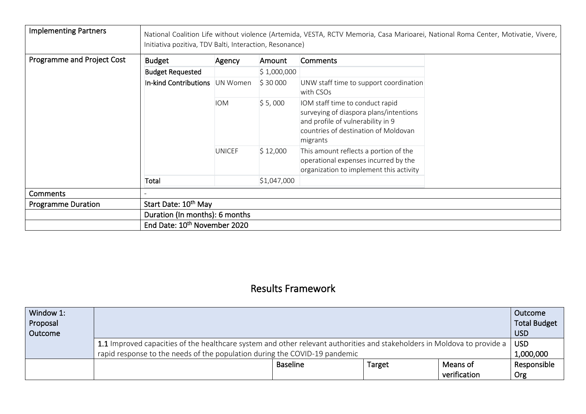| <b>Implementing Partners</b> | Initiativa pozitiva, TDV Balti, Interaction, Resonance) |               |                        |                                                                                                                                                                    | National Coalition Life without violence (Artemida, VESTA, RCTV Memoria, Casa Marioarei, National Roma Center, Motivatie, Vivere, |
|------------------------------|---------------------------------------------------------|---------------|------------------------|--------------------------------------------------------------------------------------------------------------------------------------------------------------------|-----------------------------------------------------------------------------------------------------------------------------------|
| Programme and Project Cost   | <b>Budget</b>                                           | Agency        | Amount                 | Comments                                                                                                                                                           |                                                                                                                                   |
|                              | <b>Budget Requested</b>                                 |               | $\frac{1}{2}$ ,000,000 |                                                                                                                                                                    |                                                                                                                                   |
|                              | In-kind Contributions UN Women                          |               | \$30000                | UNW staff time to support coordination<br>with CSOs                                                                                                                |                                                                                                                                   |
|                              |                                                         | <b>IOM</b>    | \$5,000                | IOM staff time to conduct rapid<br>surveying of diaspora plans/intentions<br>and profile of vulnerability in 9<br>countries of destination of Moldovan<br>migrants |                                                                                                                                   |
|                              |                                                         | <b>UNICEF</b> | \$12,000               | This amount reflects a portion of the<br>operational expenses incurred by the<br>organization to implement this activity                                           |                                                                                                                                   |
|                              | Total                                                   |               | \$1,047,000            |                                                                                                                                                                    |                                                                                                                                   |
| Comments                     |                                                         |               |                        |                                                                                                                                                                    |                                                                                                                                   |
| <b>Programme Duration</b>    | Start Date: 10 <sup>th</sup> May                        |               |                        |                                                                                                                                                                    |                                                                                                                                   |
|                              | Duration (In months): 6 months                          |               |                        |                                                                                                                                                                    |                                                                                                                                   |
|                              | End Date: 10 <sup>th</sup> November 2020                |               |                        |                                                                                                                                                                    |                                                                                                                                   |

## Results Framework

| Window 1:<br>Proposal<br>Outcome | Outcome<br><b>Total Budget</b>                                                                                                         |                 |               |              |             |  |  |
|----------------------------------|----------------------------------------------------------------------------------------------------------------------------------------|-----------------|---------------|--------------|-------------|--|--|
|                                  | 1.1 Improved capacities of the healthcare system and other relevant authorities and stakeholders in Moldova to provide a<br><b>USD</b> |                 |               |              |             |  |  |
|                                  | rapid response to the needs of the population during the COVID-19 pandemic                                                             |                 |               |              | 1,000,000   |  |  |
|                                  |                                                                                                                                        | <b>Baseline</b> | <b>Target</b> | Means of     | Responsible |  |  |
|                                  |                                                                                                                                        |                 |               | verification | Org         |  |  |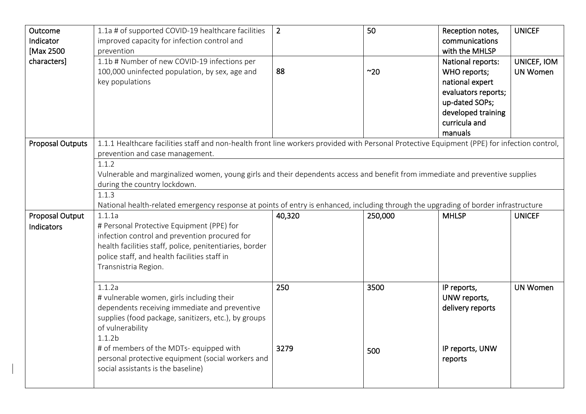| Outcome                 | 1.1a # of supported COVID-19 healthcare facilities                                                                                           | $\overline{2}$ | 50      | Reception notes,    | <b>UNICEF</b>   |
|-------------------------|----------------------------------------------------------------------------------------------------------------------------------------------|----------------|---------|---------------------|-----------------|
| Indicator               | improved capacity for infection control and                                                                                                  |                |         | communications      |                 |
| [Max 2500               | prevention                                                                                                                                   |                |         | with the MHLSP      |                 |
| characters]             | 1.1b # Number of new COVID-19 infections per                                                                                                 |                |         | National reports:   | UNICEF, IOM     |
|                         | 100,000 uninfected population, by sex, age and                                                                                               | 88             | ~20     | WHO reports;        | <b>UN Women</b> |
|                         | key populations                                                                                                                              |                |         | national expert     |                 |
|                         |                                                                                                                                              |                |         | evaluators reports; |                 |
|                         |                                                                                                                                              |                |         | up-dated SOPs;      |                 |
|                         |                                                                                                                                              |                |         | developed training  |                 |
|                         |                                                                                                                                              |                |         | curricula and       |                 |
|                         |                                                                                                                                              |                |         | manuals             |                 |
| <b>Proposal Outputs</b> | 1.1.1 Healthcare facilities staff and non-health front line workers provided with Personal Protective Equipment (PPE) for infection control, |                |         |                     |                 |
|                         | prevention and case management.                                                                                                              |                |         |                     |                 |
|                         | 1.1.2                                                                                                                                        |                |         |                     |                 |
|                         | Vulnerable and marginalized women, young girls and their dependents access and benefit from immediate and preventive supplies                |                |         |                     |                 |
|                         | during the country lockdown.                                                                                                                 |                |         |                     |                 |
|                         | 1.1.3                                                                                                                                        |                |         |                     |                 |
|                         | National health-related emergency response at points of entry is enhanced, including through the upgrading of border infrastructure          |                |         |                     |                 |
|                         |                                                                                                                                              |                |         |                     |                 |
|                         | 1.1.1a                                                                                                                                       |                |         | <b>MHLSP</b>        | <b>UNICEF</b>   |
| Proposal Output         |                                                                                                                                              | 40,320         | 250,000 |                     |                 |
| Indicators              | # Personal Protective Equipment (PPE) for                                                                                                    |                |         |                     |                 |
|                         | infection control and prevention procured for                                                                                                |                |         |                     |                 |
|                         | health facilities staff, police, penitentiaries, border                                                                                      |                |         |                     |                 |
|                         | police staff, and health facilities staff in                                                                                                 |                |         |                     |                 |
|                         | Transnistria Region.                                                                                                                         |                |         |                     |                 |
|                         |                                                                                                                                              |                |         |                     |                 |
|                         | 1.1.2a                                                                                                                                       | 250            | 3500    | IP reports,         | <b>UN Women</b> |
|                         | # vulnerable women, girls including their                                                                                                    |                |         | UNW reports,        |                 |
|                         | dependents receiving immediate and preventive                                                                                                |                |         | delivery reports    |                 |
|                         | supplies (food package, sanitizers, etc.), by groups                                                                                         |                |         |                     |                 |
|                         | of vulnerability                                                                                                                             |                |         |                     |                 |
|                         | 1.1.2 <sub>b</sub>                                                                                                                           |                |         |                     |                 |
|                         | # of members of the MDTs- equipped with                                                                                                      | 3279           | 500     | IP reports, UNW     |                 |
|                         | personal protective equipment (social workers and                                                                                            |                |         | reports             |                 |
|                         | social assistants is the baseline)                                                                                                           |                |         |                     |                 |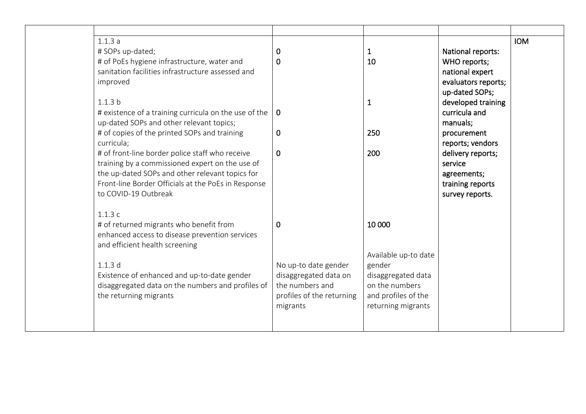| 1.1.3a                                                |                           |                      |                     | <b>IOM</b> |
|-------------------------------------------------------|---------------------------|----------------------|---------------------|------------|
| # SOPs up-dated;                                      | 0                         | 1                    | National reports:   |            |
| # of PoEs hygiene infrastructure, water and           | $\overline{0}$            | 10                   | WHO reports;        |            |
| sanitation facilities infrastructure assessed and     |                           |                      | national expert     |            |
| improved                                              |                           |                      | evaluators reports; |            |
|                                                       |                           |                      | up-dated SOPs;      |            |
| 1.1.3 <sub>b</sub>                                    |                           | $\mathbf 1$          | developed training  |            |
| # existence of a training curricula on the use of the | $\overline{0}$            |                      | curricula and       |            |
| up-dated SOPs and other relevant topics;              |                           |                      | manuals;            |            |
| # of copies of the printed SOPs and training          | $\mathbf 0$               | 250                  | procurement         |            |
| curricula;                                            |                           |                      | reports; vendors    |            |
| # of front-line border police staff who receive       | $\mathbf 0$               | 200                  | delivery reports;   |            |
| training by a commissioned expert on the use of       |                           |                      | service             |            |
| the up-dated SOPs and other relevant topics for       |                           |                      | agreements;         |            |
| Front-line Border Officials at the PoEs in Response   |                           |                      | training reports    |            |
| to COVID-19 Outbreak                                  |                           |                      | survey reports.     |            |
|                                                       |                           |                      |                     |            |
| 1.1.3c                                                |                           |                      |                     |            |
| # of returned migrants who benefit from               | $\mathbf 0$               | 10 000               |                     |            |
| enhanced access to disease prevention services        |                           |                      |                     |            |
| and efficient health screening                        |                           |                      |                     |            |
|                                                       |                           | Available up-to date |                     |            |
| 1.1.3d                                                | No up-to date gender      | gender               |                     |            |
| Existence of enhanced and up-to-date gender           | disaggregated data on     | disaggregated data   |                     |            |
| disaggregated data on the numbers and profiles of     | the numbers and           | on the numbers       |                     |            |
| the returning migrants                                | profiles of the returning | and profiles of the  |                     |            |
|                                                       | migrants                  | returning migrants   |                     |            |
|                                                       |                           |                      |                     |            |
|                                                       |                           |                      |                     |            |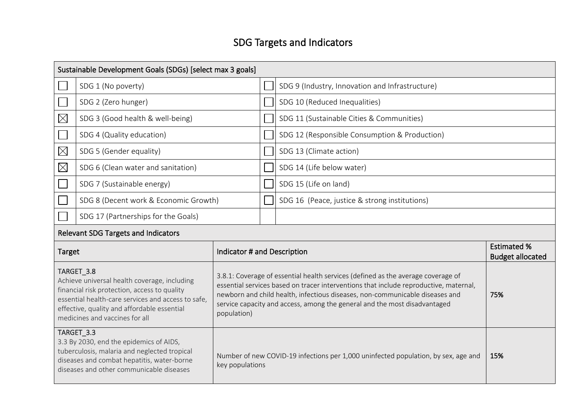# SDG Targets and Indicators

| Sustainable Development Goals (SDGs) [select max 3 goals]                                                                                                                                                                                                                      |                                            |                             |                                                                                                                                                                                                                                                                                                                                        |                                                 |                                               |  |
|--------------------------------------------------------------------------------------------------------------------------------------------------------------------------------------------------------------------------------------------------------------------------------|--------------------------------------------|-----------------------------|----------------------------------------------------------------------------------------------------------------------------------------------------------------------------------------------------------------------------------------------------------------------------------------------------------------------------------------|-------------------------------------------------|-----------------------------------------------|--|
|                                                                                                                                                                                                                                                                                | SDG 1 (No poverty)                         |                             |                                                                                                                                                                                                                                                                                                                                        | SDG 9 (Industry, Innovation and Infrastructure) |                                               |  |
|                                                                                                                                                                                                                                                                                | SDG 2 (Zero hunger)                        |                             |                                                                                                                                                                                                                                                                                                                                        | SDG 10 (Reduced Inequalities)                   |                                               |  |
| $\boxtimes$                                                                                                                                                                                                                                                                    | SDG 3 (Good health & well-being)           |                             |                                                                                                                                                                                                                                                                                                                                        | SDG 11 (Sustainable Cities & Communities)       |                                               |  |
|                                                                                                                                                                                                                                                                                | SDG 4 (Quality education)                  |                             |                                                                                                                                                                                                                                                                                                                                        | SDG 12 (Responsible Consumption & Production)   |                                               |  |
| $\boxtimes$                                                                                                                                                                                                                                                                    | SDG 5 (Gender equality)                    |                             |                                                                                                                                                                                                                                                                                                                                        | SDG 13 (Climate action)                         |                                               |  |
| $\boxtimes$                                                                                                                                                                                                                                                                    | SDG 6 (Clean water and sanitation)         |                             |                                                                                                                                                                                                                                                                                                                                        | SDG 14 (Life below water)                       |                                               |  |
|                                                                                                                                                                                                                                                                                | SDG 7 (Sustainable energy)                 |                             |                                                                                                                                                                                                                                                                                                                                        | SDG 15 (Life on land)                           |                                               |  |
|                                                                                                                                                                                                                                                                                | SDG 8 (Decent work & Economic Growth)      |                             |                                                                                                                                                                                                                                                                                                                                        | SDG 16 (Peace, justice & strong institutions)   |                                               |  |
|                                                                                                                                                                                                                                                                                | SDG 17 (Partnerships for the Goals)        |                             |                                                                                                                                                                                                                                                                                                                                        |                                                 |                                               |  |
|                                                                                                                                                                                                                                                                                | <b>Relevant SDG Targets and Indicators</b> |                             |                                                                                                                                                                                                                                                                                                                                        |                                                 |                                               |  |
| Target                                                                                                                                                                                                                                                                         |                                            | Indicator # and Description |                                                                                                                                                                                                                                                                                                                                        |                                                 | <b>Estimated %</b><br><b>Budget allocated</b> |  |
| TARGET 3.8<br>Achieve universal health coverage, including<br>financial risk protection, access to quality<br>essential health-care services and access to safe,<br>effective, quality and affordable essential<br>population)<br>medicines and vaccines for all<br>TARGET_3.3 |                                            |                             | 3.8.1: Coverage of essential health services (defined as the average coverage of<br>essential services based on tracer interventions that include reproductive, maternal,<br>newborn and child health, infectious diseases, non-communicable diseases and<br>service capacity and access, among the general and the most disadvantaged | 75%                                             |                                               |  |

3.3 By 2030, end the epidemics of AIDS, tuberculosis, malaria and neglected tropical diseases and combat hepatitis, water-borne diseases and other communicable diseases Number of new COVID-19 infections per 1,000 uninfected population, by sex, age and key populations 15%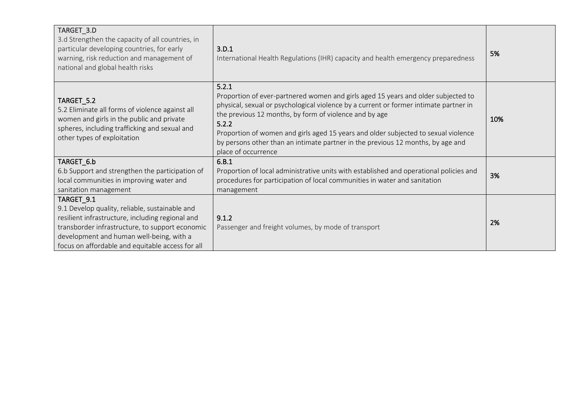| TARGET_3.D<br>3.d Strengthen the capacity of all countries, in<br>particular developing countries, for early<br>warning, risk reduction and management of<br>national and global health risks                                                                       | 3.D.1<br>International Health Regulations (IHR) capacity and health emergency preparedness                                                                                                                                                                                                                                                                                                                                                             | 5%  |
|---------------------------------------------------------------------------------------------------------------------------------------------------------------------------------------------------------------------------------------------------------------------|--------------------------------------------------------------------------------------------------------------------------------------------------------------------------------------------------------------------------------------------------------------------------------------------------------------------------------------------------------------------------------------------------------------------------------------------------------|-----|
| TARGET_5.2<br>5.2 Eliminate all forms of violence against all<br>women and girls in the public and private<br>spheres, including trafficking and sexual and<br>other types of exploitation                                                                          | 5.2.1<br>Proportion of ever-partnered women and girls aged 15 years and older subjected to<br>physical, sexual or psychological violence by a current or former intimate partner in<br>the previous 12 months, by form of violence and by age<br>5.2.2<br>Proportion of women and girls aged 15 years and older subjected to sexual violence<br>by persons other than an intimate partner in the previous 12 months, by age and<br>place of occurrence | 10% |
| TARGET_6.b<br>6.b Support and strengthen the participation of<br>local communities in improving water and<br>sanitation management                                                                                                                                  | 6.B.1<br>Proportion of local administrative units with established and operational policies and<br>procedures for participation of local communities in water and sanitation<br>management                                                                                                                                                                                                                                                             | 3%  |
| TARGET_9.1<br>9.1 Develop quality, reliable, sustainable and<br>resilient infrastructure, including regional and<br>transborder infrastructure, to support economic<br>development and human well-being, with a<br>focus on affordable and equitable access for all | 9.1.2<br>Passenger and freight volumes, by mode of transport                                                                                                                                                                                                                                                                                                                                                                                           | 2%  |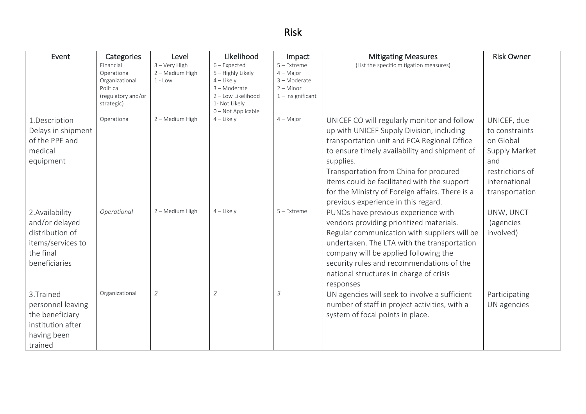# Risk

| Event                                                                                                   | Categories<br>Financial<br>Operational<br>Organizational<br>Political<br>(regulatory and/or<br>strategic) | Level<br>$3 - \text{Very High}$<br>2 - Medium High<br>$1 - Low$ | Likelihood<br>$6$ – Expected<br>5 - Highly Likely<br>$4$ – Likely<br>3-Moderate<br>2 - Low Likelihood<br>1- Not Likely<br>0-Not Applicable | Impact<br>$5 -$ Extreme<br>$4 -$ Maior<br>3-Moderate<br>$2 -$ Minor<br>$1$ – Insignificant | <b>Mitigating Measures</b><br>(List the specific mitigation measures)                                                                                                                                                                                                                                                                                                                    | <b>Risk Owner</b>                                                                                                        |  |
|---------------------------------------------------------------------------------------------------------|-----------------------------------------------------------------------------------------------------------|-----------------------------------------------------------------|--------------------------------------------------------------------------------------------------------------------------------------------|--------------------------------------------------------------------------------------------|------------------------------------------------------------------------------------------------------------------------------------------------------------------------------------------------------------------------------------------------------------------------------------------------------------------------------------------------------------------------------------------|--------------------------------------------------------------------------------------------------------------------------|--|
| 1.Description<br>Delays in shipment<br>of the PPE and<br>medical<br>equipment                           | Operational                                                                                               | 2 - Medium High                                                 | $4$ – Likely                                                                                                                               | $4 - Major$                                                                                | UNICEF CO will regularly monitor and follow<br>up with UNICEF Supply Division, including<br>transportation unit and ECA Regional Office<br>to ensure timely availability and shipment of<br>supplies.<br>Transportation from China for procured<br>items could be facilitated with the support<br>for the Ministry of Foreign affairs. There is a<br>previous experience in this regard. | UNICEF, due<br>to constraints<br>on Global<br>Supply Market<br>and<br>restrictions of<br>international<br>transportation |  |
| 2. Availability<br>and/or delayed<br>distribution of<br>items/services to<br>the final<br>beneficiaries | Operational                                                                                               | 2 - Medium High                                                 | $4$ – Likely                                                                                                                               | $5 -$ Extreme                                                                              | PUNOs have previous experience with<br>vendors providing prioritized materials.<br>Regular communication with suppliers will be<br>undertaken. The LTA with the transportation<br>company will be applied following the<br>security rules and recommendations of the<br>national structures in charge of crisis<br>responses                                                             | UNW, UNCT<br><i>(agencies</i><br>involved)                                                                               |  |
| 3. Trained<br>personnel leaving<br>the beneficiary<br>institution after<br>having been<br>trained       | Organizational                                                                                            | $\overline{2}$                                                  | $\overline{2}$                                                                                                                             | $\mathcal{S}_{\mathcal{S}}$                                                                | UN agencies will seek to involve a sufficient<br>number of staff in project activities, with a<br>system of focal points in place.                                                                                                                                                                                                                                                       | Participating<br>UN agencies                                                                                             |  |